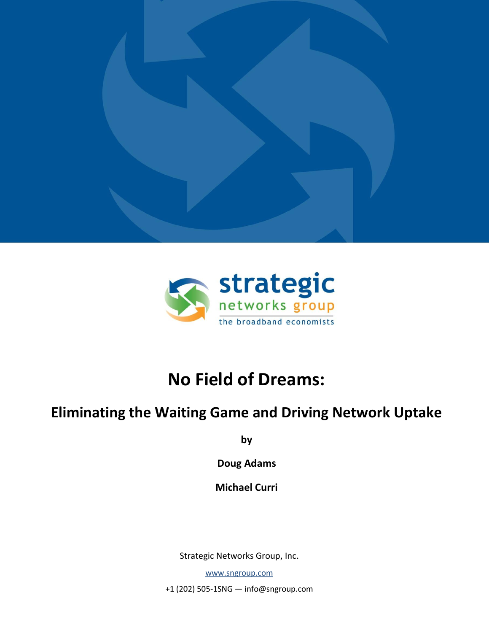



# **No Field of Dreams:**

# **Eliminating the Waiting Game and Driving Network Uptake**

**by** 

**Doug Adams**

**Michael Curri**

Strategic Networks Group, Inc.

[www.sngroup.com](http://www.sngroup.com/)

+1 (202) 505-1SNG — info@sngroup.com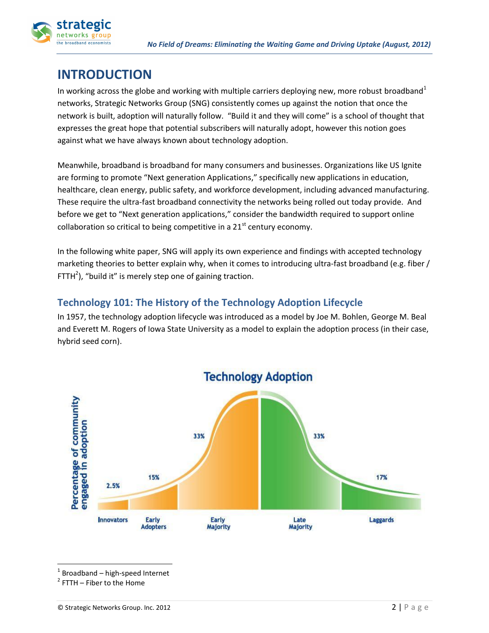

# **INTRODUCTION**

In working across the globe and working with multiple carriers deploying new, more robust broadband<sup>1</sup> networks, Strategic Networks Group (SNG) consistently comes up against the notion that once the network is built, adoption will naturally follow. "Build it and they will come" is a school of thought that expresses the great hope that potential subscribers will naturally adopt, however this notion goes against what we have always known about technology adoption.

Meanwhile, broadband is broadband for many consumers and businesses. Organizations like US Ignite are forming to promote "Next generation Applications," specifically new applications in education, healthcare, clean energy, public safety, and workforce development, including advanced manufacturing. These require the ultra-fast broadband connectivity the networks being rolled out today provide. And before we get to "Next generation applications," consider the bandwidth required to support online collaboration so critical to being competitive in a  $21<sup>st</sup>$  century economy.

In the following white paper, SNG will apply its own experience and findings with accepted technology marketing theories to better explain why, when it comes to introducing ultra-fast broadband (e.g. fiber / FTTH<sup>2</sup>), "build it" is merely step one of gaining traction.

### **Technology 101: The History of the Technology Adoption Lifecycle**

In 1957, the technology adoption lifecycle was introduced as a model by Joe M. Bohlen, George M. Beal and Everett M. Rogers of Iowa State University as a model to explain the adoption process (in their case, hybrid seed corn).



<sup>1</sup> Broadband – high-speed Internet

 $2$  FTTH – Fiber to the Home

l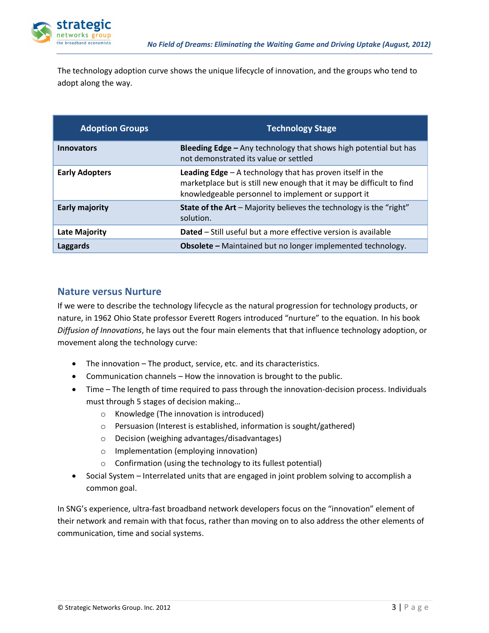

The technology adoption curve shows the unique lifecycle of innovation, and the groups who tend to adopt along the way.

| <b>Adoption Groups</b> | <b>Technology Stage</b>                                                                                                                                                                   |
|------------------------|-------------------------------------------------------------------------------------------------------------------------------------------------------------------------------------------|
| <b>Innovators</b>      | Bleeding Edge - Any technology that shows high potential but has<br>not demonstrated its value or settled                                                                                 |
| <b>Early Adopters</b>  | Leading Edge $-$ A technology that has proven itself in the<br>marketplace but is still new enough that it may be difficult to find<br>knowledgeable personnel to implement or support it |
| <b>Early majority</b>  | State of the Art - Majority believes the technology is the "right"<br>solution.                                                                                                           |
| Late Majority          | <b>Dated</b> – Still useful but a more effective version is available                                                                                                                     |
| Laggards               | <b>Obsolete</b> – Maintained but no longer implemented technology.                                                                                                                        |

#### **Nature versus Nurture**

If we were to describe the technology lifecycle as the natural progression for technology products, or nature, in 1962 Ohio State professor Everett Rogers introduced "nurture" to the equation. In his book *Diffusion of Innovations*, he lays out the four main elements that that influence technology adoption, or movement along the technology curve:

- The innovation The product, service, etc. and its characteristics.
- Communication channels How the innovation is brought to the public.
- Time The length of time required to pass through the innovation-decision process. Individuals must through 5 stages of decision making…
	- o Knowledge (The innovation is introduced)
	- o Persuasion (Interest is established, information is sought/gathered)
	- o Decision (weighing advantages/disadvantages)
	- o Implementation (employing innovation)
	- o Confirmation (using the technology to its fullest potential)
- Social System Interrelated units that are engaged in joint problem solving to accomplish a common goal.

In SNG's experience, ultra-fast broadband network developers focus on the "innovation" element of their network and remain with that focus, rather than moving on to also address the other elements of communication, time and social systems.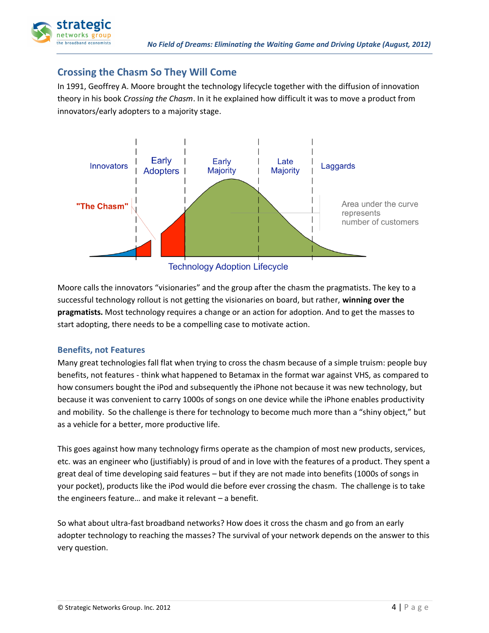

### **Crossing the Chasm So They Will Come**

In 1991, Geoffrey A. Moore brought the technology lifecycle together with the diffusion of innovation theory in his book *Crossing the Chasm*. In it he explained how difficult it was to move a product from innovators/early adopters to a majority stage.



Moore calls the innovators "visionaries" and the group after the chasm the pragmatists. The key to a successful technology rollout is not getting the visionaries on board, but rather, **winning over the pragmatists.** Most technology requires a change or an action for adoption. And to get the masses to start adopting, there needs to be a compelling case to motivate action.

#### **Benefits, not Features**

Many great technologies fall flat when trying to cross the chasm because of a simple truism: people buy benefits, not features - think what happened to Betamax in the format war against VHS, as compared to how consumers bought the iPod and subsequently the iPhone not because it was new technology, but because it was convenient to carry 1000s of songs on one device while the iPhone enables productivity and mobility. So the challenge is there for technology to become much more than a "shiny object," but as a vehicle for a better, more productive life.

This goes against how many technology firms operate as the champion of most new products, services, etc. was an engineer who (justifiably) is proud of and in love with the features of a product. They spent a great deal of time developing said features – but if they are not made into benefits (1000s of songs in your pocket), products like the iPod would die before ever crossing the chasm. The challenge is to take the engineers feature… and make it relevant – a benefit.

So what about ultra-fast broadband networks? How does it cross the chasm and go from an early adopter technology to reaching the masses? The survival of your network depends on the answer to this very question.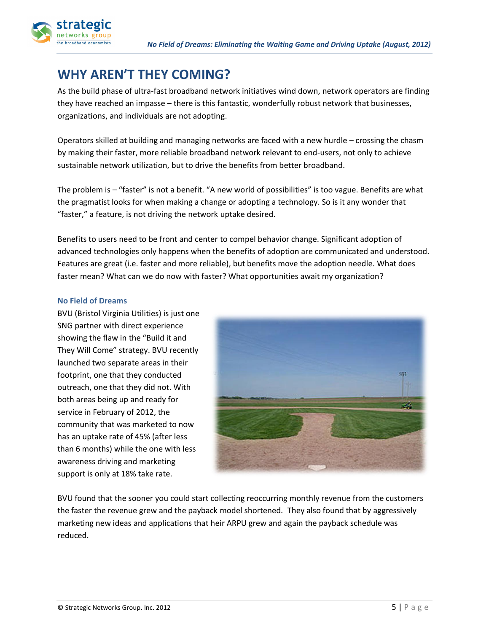

# **WHY AREN'T THEY COMING?**

As the build phase of ultra-fast broadband network initiatives wind down, network operators are finding they have reached an impasse – there is this fantastic, wonderfully robust network that businesses, organizations, and individuals are not adopting.

Operators skilled at building and managing networks are faced with a new hurdle – crossing the chasm by making their faster, more reliable broadband network relevant to end-users, not only to achieve sustainable network utilization, but to drive the benefits from better broadband.

The problem is – "faster" is not a benefit. "A new world of possibilities" is too vague. Benefits are what the pragmatist looks for when making a change or adopting a technology. So is it any wonder that "faster," a feature, is not driving the network uptake desired.

Benefits to users need to be front and center to compel behavior change. Significant adoption of advanced technologies only happens when the benefits of adoption are communicated and understood. Features are great (i.e. faster and more reliable), but benefits move the adoption needle. What does faster mean? What can we do now with faster? What opportunities await my organization?

#### **No Field of Dreams**

BVU (Bristol Virginia Utilities) is just one SNG partner with direct experience showing the flaw in the "Build it and They Will Come" strategy. BVU recently launched two separate areas in their footprint, one that they conducted outreach, one that they did not. With both areas being up and ready for service in February of 2012, the community that was marketed to now has an uptake rate of 45% (after less than 6 months) while the one with less awareness driving and marketing support is only at 18% take rate.



BVU found that the sooner you could start collecting reoccurring monthly revenue from the customers the faster the revenue grew and the payback model shortened. They also found that by aggressively marketing new ideas and applications that heir ARPU grew and again the payback schedule was reduced.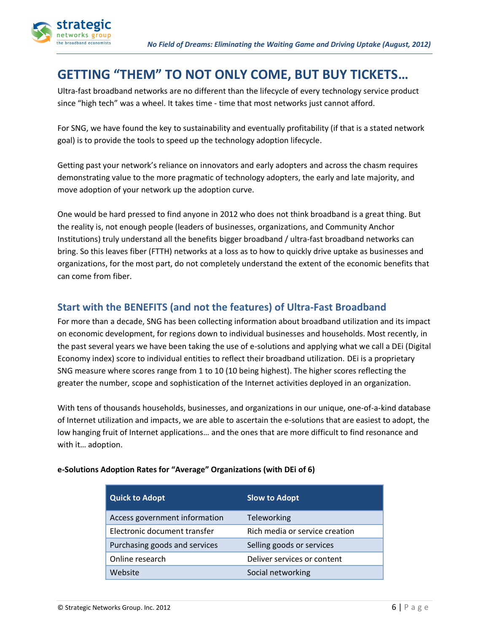

# **GETTING "THEM" TO NOT ONLY COME, BUT BUY TICKETS…**

Ultra-fast broadband networks are no different than the lifecycle of every technology service product since "high tech" was a wheel. It takes time - time that most networks just cannot afford.

For SNG, we have found the key to sustainability and eventually profitability (if that is a stated network goal) is to provide the tools to speed up the technology adoption lifecycle.

Getting past your network's reliance on innovators and early adopters and across the chasm requires demonstrating value to the more pragmatic of technology adopters, the early and late majority, and move adoption of your network up the adoption curve.

One would be hard pressed to find anyone in 2012 who does not think broadband is a great thing. But the reality is, not enough people (leaders of businesses, organizations, and Community Anchor Institutions) truly understand all the benefits bigger broadband / ultra-fast broadband networks can bring. So this leaves fiber (FTTH) networks at a loss as to how to quickly drive uptake as businesses and organizations, for the most part, do not completely understand the extent of the economic benefits that can come from fiber.

### **Start with the BENEFITS (and not the features) of Ultra-Fast Broadband**

For more than a decade, SNG has been collecting information about broadband utilization and its impact on economic development, for regions down to individual businesses and households. Most recently, in the past several years we have been taking the use of e-solutions and applying what we call a DEi (Digital Economy index) score to individual entities to reflect their broadband utilization. DEi is a proprietary SNG measure where scores range from 1 to 10 (10 being highest). The higher scores reflecting the greater the number, scope and sophistication of the Internet activities deployed in an organization.

With tens of thousands households, businesses, and organizations in our unique, one-of-a-kind database of Internet utilization and impacts, we are able to ascertain the e-solutions that are easiest to adopt, the low hanging fruit of Internet applications… and the ones that are more difficult to find resonance and with it… adoption.

| <b>Quick to Adopt</b>         | <b>Slow to Adopt</b>           |
|-------------------------------|--------------------------------|
| Access government information | Teleworking                    |
| Electronic document transfer  | Rich media or service creation |
| Purchasing goods and services | Selling goods or services      |
| Online research               | Deliver services or content    |
| Website                       | Social networking              |

#### **e-Solutions Adoption Rates for "Average" Organizations (with DEi of 6)**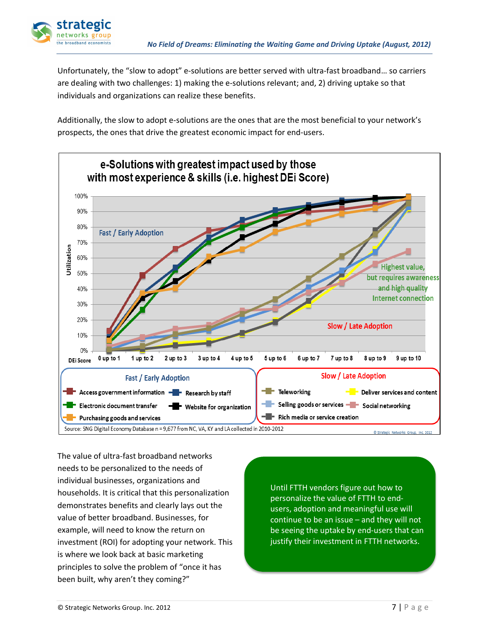

Unfortunately, the "slow to adopt" e-solutions are better served with ultra-fast broadband… so carriers are dealing with two challenges: 1) making the e-solutions relevant; and, 2) driving uptake so that individuals and organizations can realize these benefits.

Additionally, the slow to adopt e-solutions are the ones that are the most beneficial to your network's prospects, the ones that drive the greatest economic impact for end-users.



The value of ultra-fast broadband networks needs to be personalized to the needs of individual businesses, organizations and households. It is critical that this personalization demonstrates benefits and clearly lays out the value of better broadband. Businesses, for example, will need to know the return on investment (ROI) for adopting your network. This is where we look back at basic marketing principles to solve the problem of "once it has been built, why aren't they coming?"

Until FTTH vendors figure out how to personalize the value of FTTH to endusers, adoption and meaningful use will continue to be an issue – and they will not be seeing the uptake by end-users that can justify their investment in FTTH networks.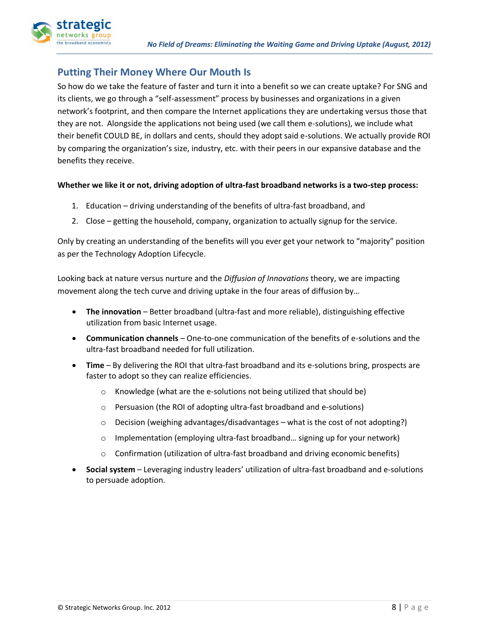

### **Putting Their Money Where Our Mouth Is**

So how do we take the feature of faster and turn it into a benefit so we can create uptake? For SNG and its clients, we go through a "self-assessment" process by businesses and organizations in a given network's footprint, and then compare the Internet applications they are undertaking versus those that they are not. Alongside the applications not being used (we call them e-solutions), we include what their benefit COULD BE, in dollars and cents, should they adopt said e-solutions. We actually provide ROI by comparing the organization's size, industry, etc. with their peers in our expansive database and the benefits they receive.

#### **Whether we like it or not, driving adoption of ultra-fast broadband networks is a two-step process:**

- 1. Education driving understanding of the benefits of ultra-fast broadband, and
- 2. Close getting the household, company, organization to actually signup for the service.

Only by creating an understanding of the benefits will you ever get your network to "majority" position as per the Technology Adoption Lifecycle.

Looking back at nature versus nurture and the *Diffusion of Innovations* theory, we are impacting movement along the tech curve and driving uptake in the four areas of diffusion by…

- **The innovation** Better broadband (ultra-fast and more reliable), distinguishing effective utilization from basic Internet usage.
- **Communication channels** One-to-one communication of the benefits of e-solutions and the ultra-fast broadband needed for full utilization.
- **Time** By delivering the ROI that ultra-fast broadband and its e-solutions bring, prospects are faster to adopt so they can realize efficiencies.
	- o Knowledge (what are the e-solutions not being utilized that should be)
	- o Persuasion (the ROI of adopting ultra-fast broadband and e-solutions)
	- $\circ$  Decision (weighing advantages/disadvantages what is the cost of not adopting?)
	- o Implementation (employing ultra-fast broadband… signing up for your network)
	- $\circ$  Confirmation (utilization of ultra-fast broadband and driving economic benefits)
- **Social system** Leveraging industry leaders' utilization of ultra-fast broadband and e-solutions to persuade adoption.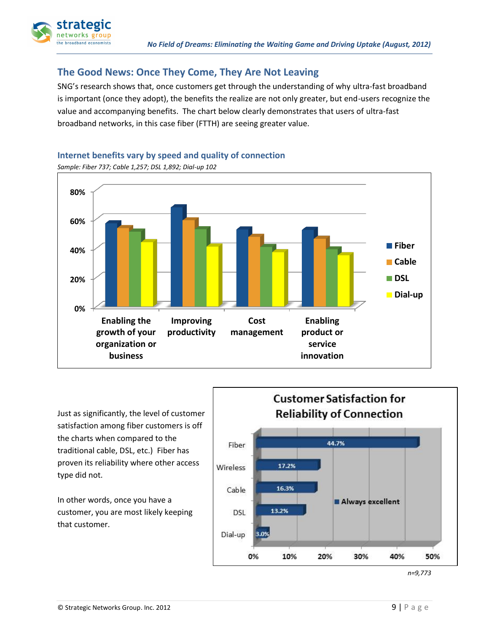

### **The Good News: Once They Come, They Are Not Leaving**

SNG's research shows that, once customers get through the understanding of why ultra-fast broadband is important (once they adopt), the benefits the realize are not only greater, but end-users recognize the value and accompanying benefits. The chart below clearly demonstrates that users of ultra-fast broadband networks, in this case fiber (FTTH) are seeing greater value.

### **Internet benefits vary by speed and quality of connection**



*Sample: Fiber 737; Cable 1,257; DSL 1,892; Dial-up 102* 

Just as significantly, the level of customer satisfaction among fiber customers is off the charts when compared to the traditional cable, DSL, etc.) Fiber has proven its reliability where other access type did not.

In other words, once you have a customer, you are most likely keeping that customer.

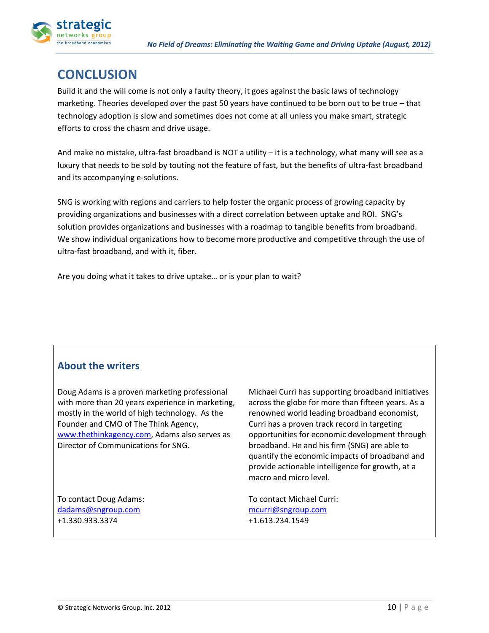



# **CONCLUSION**

Build it and the will come is not only a faulty theory, it goes against the basic laws of technology marketing. Theories developed over the past 50 years have continued to be born out to be true – that technology adoption is slow and sometimes does not come at all unless you make smart, strategic efforts to cross the chasm and drive usage.

And make no mistake, ultra-fast broadband is NOT a utility – it is a technology, what many will see as a luxury that needs to be sold by touting not the feature of fast, but the benefits of ultra-fast broadband and its accompanying e-solutions.

SNG is working with regions and carriers to help foster the organic process of growing capacity by providing organizations and businesses with a direct correlation between uptake and ROI. SNG's solution provides organizations and businesses with a roadmap to tangible benefits from broadband. We show individual organizations how to become more productive and competitive through the use of ultra-fast broadband, and with it, fiber.

Are you doing what it takes to drive uptake… or is your plan to wait?

## **About the writers**

Doug Adams is a proven marketing professional with more than 20 years experience in marketing, mostly in the world of high technology. As the Founder and CMO of The Think Agency, [www.thethinkagency.com,](http://www.thethinkagency.com/) Adams also serves as Director of Communications for SNG.

To contact Doug Adams: [dadams@sngroup.com](mailto:dadams@sngroup.com) +1.330.933.3374

Michael Curri has supporting broadband initiatives across the globe for more than fifteen years. As a renowned world leading broadband economist, Curri has a proven track record in targeting opportunities for economic development through broadband. He and his firm (SNG) are able to quantify the economic impacts of broadband and provide actionable intelligence for growth, at a macro and micro level.

To contact Michael Curri: [mcurri@sngroup.com](mailto:mcurri@sngroup.com) +1.613.234.1549